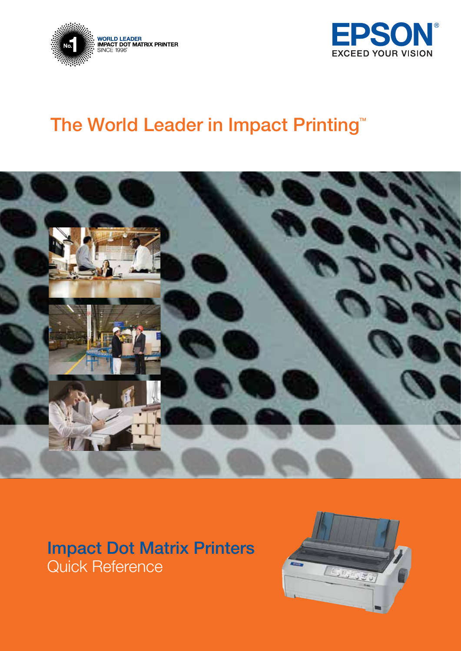



### The World Leader in Impact Printing<sup>™</sup>



### Impact Dot Matrix Printers Quick Reference

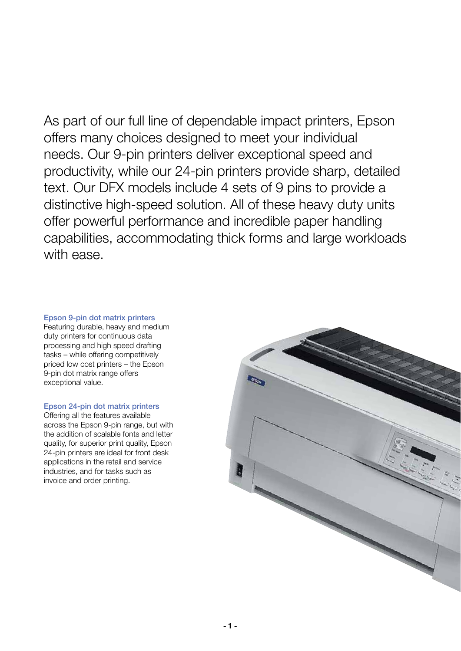As part of our full line of dependable impact printers, Epson offers many choices designed to meet your individual needs. Our 9-pin printers deliver exceptional speed and productivity, while our 24-pin printers provide sharp, detailed text. Our DFX models include 4 sets of 9 pins to provide a distinctive high-speed solution. All of these heavy duty units offer powerful performance and incredible paper handling capabilities, accommodating thick forms and large workloads with ease.

### Epson 9-pin dot matrix printers

Featuring durable, heavy and medium duty printers for continuous data processing and high speed drafting tasks – while offering competitively priced low cost printers – the Epson 9-pin dot matrix range offers exceptional value.

### Epson 24-pin dot matrix printers

Offering all the features available across the Epson 9-pin range, but with the addition of scalable fonts and letter quality, for superior print quality, Epson 24-pin printers are ideal for front desk applications in the retail and service industries, and for tasks such as invoice and order printing.

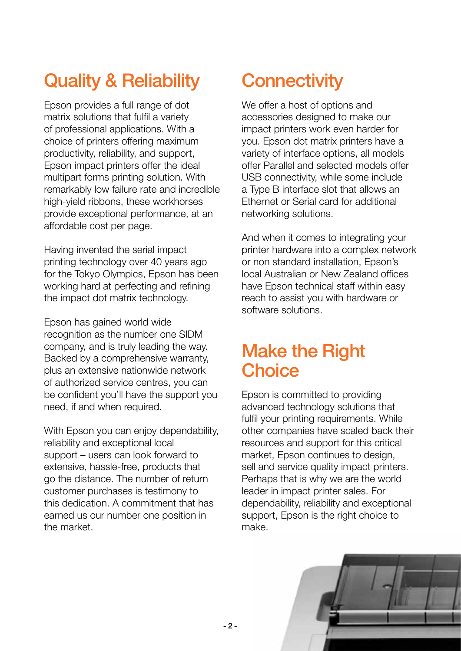### Quality & Reliability

Epson provides a full range of dot matrix solutions that fulfil a variety of professional applications. With a choice of printers offering maximum productivity, reliability, and support, Epson impact printers offer the ideal multipart forms printing solution. With remarkably low failure rate and incredible high-yield ribbons, these workhorses provide exceptional performance, at an affordable cost per page.

Having invented the serial impact printing technology over 40 years ago for the Tokyo Olympics, Epson has been working hard at perfecting and refining the impact dot matrix technology.

Epson has gained world wide recognition as the number one SIDM company, and is truly leading the way. Backed by a comprehensive warranty, plus an extensive nationwide network of authorized service centres, you can be confident you'll have the support you need, if and when required.

With Epson you can enjoy dependability, reliability and exceptional local support – users can look forward to extensive, hassle-free, products that go the distance. The number of return customer purchases is testimony to this dedication. A commitment that has earned us our number one position in the market.

### **Connectivity**

We offer a host of options and accessories designed to make our impact printers work even harder for you. Epson dot matrix printers have a variety of interface options, all models offer Parallel and selected models offer USB connectivity, while some include a Type B interface slot that allows an Ethernet or Serial card for additional networking solutions.

And when it comes to integrating your printer hardware into a complex network or non standard installation, Epson's local Australian or New Zealand offices have Epson technical staff within easy reach to assist you with hardware or software solutions.

### Make the Right **Choice**

Epson is committed to providing advanced technology solutions that fulfil your printing requirements. While other companies have scaled back their resources and support for this critical market, Epson continues to design, sell and service quality impact printers. Perhaps that is why we are the world leader in impact printer sales. For dependability, reliability and exceptional support, Epson is the right choice to make.

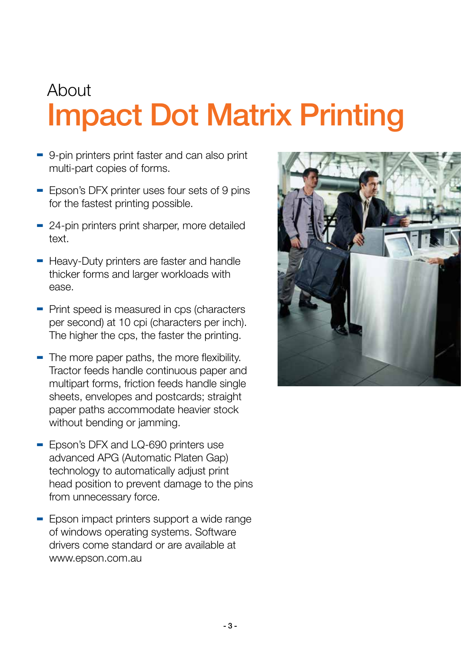### About Impact Dot Matrix Printing

- 9-pin printers print faster and can also print multi-part copies of forms.
- Epson's DFX printer uses four sets of 9 pins for the fastest printing possible.
- 24-pin printers print sharper, more detailed text.
- Heavy-Duty printers are faster and handle thicker forms and larger workloads with ease.
- Print speed is measured in cps (characters per second) at 10 cpi (characters per inch). The higher the cps, the faster the printing.
- $\blacksquare$  The more paper paths, the more flexibility. Tractor feeds handle continuous paper and multipart forms, friction feeds handle single sheets, envelopes and postcards; straight paper paths accommodate heavier stock without bending or jamming.
- Epson's DFX and LQ-690 printers use advanced APG (Automatic Platen Gap) technology to automatically adjust print head position to prevent damage to the pins from unnecessary force.
- Epson impact printers support a wide range of windows operating systems. Software drivers come standard or are available at www.epson.com.au

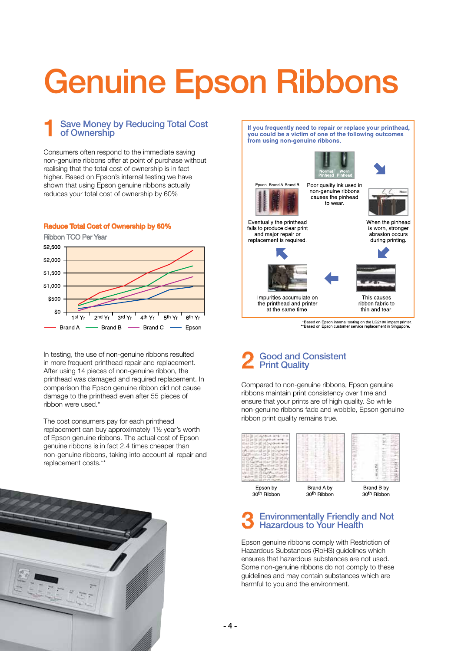# Genuine Epson Ribbons

### **Save Money by Reducing Total Cost** of Ownership

Consumers often respond to the immediate saving non-genuine ribbons offer at point of purchase without realising that the total cost of ownership is in fact higher. Based on Epson's internal testing we have shown that using Epson genuine ribbons actually reduces your total cost of ownership by 60%

#### Reduce Total Cost of Ownership by 60%

Ribbon TCO Per Year



In testing, the use of non-genuine ribbons resulted in more frequent printhead repair and replacement. After using 14 pieces of non-genuine ribbon, the printhead was damaged and required replacement. In comparison the Epson genuine ribbon did not cause damage to the printhead even after 55 pieces of ribbon were used.\*

The cost consumers pay for each printhead replacement can buy approximately 1½ year's worth of Epson genuine ribbons. The actual cost of Epson genuine ribbons is in fact 2.4 times cheaper than non-genuine ribbons, taking into account all repair and replacement costs.\*\*



If you frequently need to repair or replace your printhead, you could be a victim of one of the following outcomes from using non-genuine ribbons.







fails to produce clear print and major repair or replacement is required.



When the pinhead is worn, stronger abrasion occurs



This causes ribbon fabric to

thin and tear.

the printhead and printer at the same time.

\*Based on Epson internal testing on the LQ2180 impact printer<br>\*\*Based on Epson customer service replacement in Singapore.

#### 2 Good and Consistent Print Quality

Compared to non-genuine ribbons, Epson genuine ribbons maintain print consistency over time and ensure that your prints are of high quality. So while non-genuine ribbons fade and wobble, Epson genuine ribbon print quality remains true.



### 30<sup>th</sup> Ribbor

30<sup>th</sup> Ribbon

#### 3 Environmentally Friendly and Not Hazardous to Your Health

Epson genuine ribbons comply with Restriction of Hazardous Substances (RoHS) guidelines which ensures that hazardous substances are not used. Some non-genuine ribbons do not comply to these guidelines and may contain substances which are harmful to you and the environment.

 $-4-$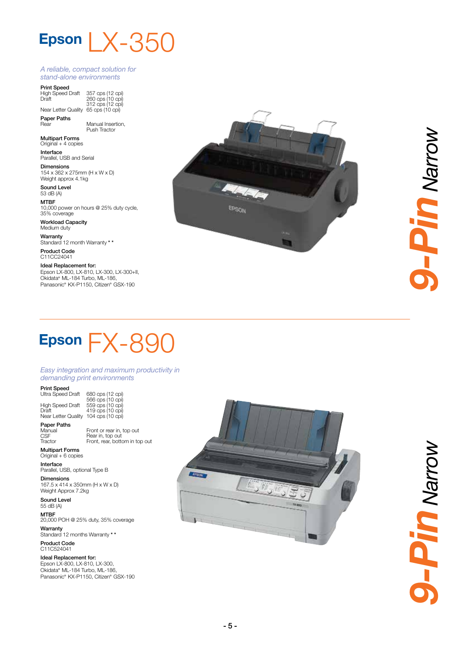### Epson  $\lfloor \chi$ -350

#### *A reliable, compact solution for stand-alone environments*

**Print Speed**<br>High Speed Draft

Draft Near Letter Quality 65 cps (10 cpi) 357 cps (12 cpi) 260 cps (10 cpi) 312 cps (12 cpi)

Paper Paths<br>Rear Manual Insertion, Push Tractor

**Multipart Forms**<br>Original + 4 copies

Interface Parallel, USB and Serial

Dimensions 154 x 362 x 275mm (H x W x D) Weight approx 4.1kg

Sound Level 53 dB (A)

MTBF 10,000 power on hours @ 25% duty cycle, 35% coverage

Workload Capacity Medium duty

Warranty Standard 12 month Warranty \* \*

Product Code C11CC24041

Ideal Replacement for: Epson LX-800, LX-810, LX-300, LX-300+II, Okidata ® ML-184 Turbo, ML-186, Panasonic ® KX-P1150, Citizen ® GSX-190



### Epson  $FX-890$

*Easy integration and maximum productivity in demanding print environments*

Print Speed

Paper Paths Manual CSF **Tractor** 

Ultra Speed Draft High Speed Draft Draft Near Letter Quality 419 cps (10 cpi) 104 cps (10 cpi)

680 cps (12 cpi) 566 cps (10 cpi) 559 cps (10 cpi)

Front or rear in, top out Rear in, top out Front, rear, bottom in top out

Multipart Forms Original + 6 copies

**Interface**<br>Parallel, USB, optional Type B

Dimensions 167.5 x 414 x 350mm (H x W x D) Weight Approx 7.2kg

Sound Level 55 dB (A)

MTBF 20,000 POH @ 25% duty, 35% coverage Warranty Standard 12 months Warranty \* \*

Product Code C11C524041

Ideal Replacement for: Epson LX-800, LX-810, LX-300, Okidata ® ML-184 Turbo, ML-186, Panasonic ® KX-P1150, Citizen ® GSX-190



**A-Pin Narrow** *9-Pin Narrow*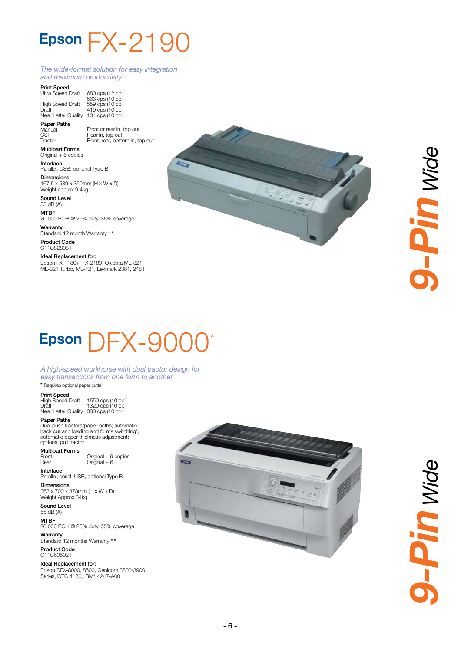### Epson  $FX - 2190$

#### *The wide-format solution for easy integration and maximum productivity*

Front or rear in, top out Rear in, top out Front, rear, bottom in, top out

**Print Speed**<br>Ultra Speed Draft

High Speed Draft Draft Near Letter Quality 680 cps (12 cpi) 566 cps (10 cpi) 559 cps (10 cpi) 419 cps (10 cpi) 104 cps (10 cpi)

Paper Paths Manual **CSF** 

Tractor

Multipart Forms Original + 6 copies Interface Parallel, USB, optional Type B

**Dimensions**<br>167.5 x 589 x 350mm (H x W x D) Weight approx 9.4kg

Sound Level 55 dB (A)

MTBF

20,000 POH @ 25% duty, 35% coverage Warranty

Standard 12 month Warranty \* \* Product Code

C11C526051

Ideal Replacement for: Epson FX-1180+, FX-2180, Okidata ML-321, ML-321 Turbo, ML-421, Lexmark 2381, 2481



# 3-Pin wide *9-Pin Wide*

### Epson  $DFX-900$ \*

#### *A high-speed workhorse with dual tractor design for easy transactions from one form to another* \* Requires optional paper cutter

#### Print Speed

High Speed Draft Draft Near Letter Quality 330 cps (10 cpi) 1550 cps (10 cpi) 1320 cps (10 cpi)

Paper Paths Dual push tractors/paper paths; automatic back out and loading and forms switching\*; automatic paper thickness adjustment;

optional pull tractor Multipart Forms Front Rear Original + 9 copies  $Original + 6$ 

Interface Parallel, serial, USB, optional Type B

Dimensions 363 x 700 x 378mm (H x W x D) Weight Approx 34kg

Sound Level 55 dB (A)

MTBF 20,000 POH @ 25% duty, 35% coverage

Warranty Standard 12 months Warranty \* \* Product Code

C11C605021

Ideal Replacement for: Epson DFX-8000, 8500, Genicom 3800/3900 Series, OTC 4130, IBM ® 4247-A00



**J-Pin wide** *9-Pin Wide*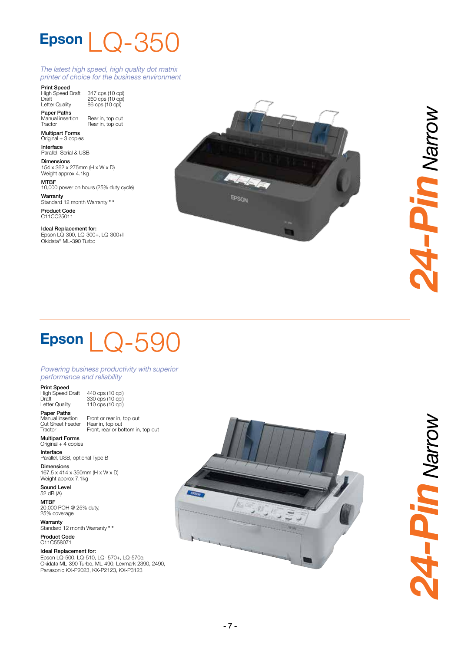### Epson  $\bigcup$   $\bigcap$   $-350$

#### *The latest high speed, high quality dot matrix printer of choice for the business environment*

**Print Speed**<br>High Speed Draft

Draft Letter Quality 347 cps (10 cpi) 260 cps (10 cpi) 86 cps (10 cpi)

Paper Paths Manual insertion **Tractor** 

Rear in, top out Rear in, top out Multipart Forms

Original + 3 copies Interface

Parallel, Serial & USB Dimensions

154 x 362 x 275mm (H x W x D) Weight approx 4.1kg MTBF 10,000 power on hours (25% duty cycle) Warranty

Standard 12 month Warranty \* \* Product Code C11CC25011

Ideal Replacement for: Epson LQ-300, LQ-300+, LQ-300+II Okidata ® ML-390 Turbo



Mourey UIL-FK *24-Pin Narrow*

### Epson  $\bigcup$   $\bigcap$  -590

*Powering business productivity with superior performance and reliability*

Print Speed

Paper Paths

High Speed Draft Draft Letter Quality

440 cps (10 cpi) 330 cps (10 cpi) 110 cps (10 cpi) Front or rear in, top out

Rear in, top out Front, rear or bottom in, top out

Manual insertion Cut Sheet Feeder **Tractor** 

Multipart Forms Original + 4 copies

**Interface**<br>Parallel, USB, optional Type B

Dimensions 167.5 x 414 x 350mm (H x W x D) Weight approx 7.1kg

Sound Level 52 dB (A) MTBF

20,000 POH @ 25% duty, 25% coverage

**Warranty**<br>Standard 12 month Warranty \* \*

Product Code C11C558071

#### Ideal Replacement for:

Epson LQ-500, LQ-510, LQ- 570+, LQ-570e, Okidata ML-390 Turbo, ML-490, Lexmark 2390, 2490, Panasonic KX-P2023, KX-P2123, KX-P3123



**Money UIL-FE** *24-Pin Narrow*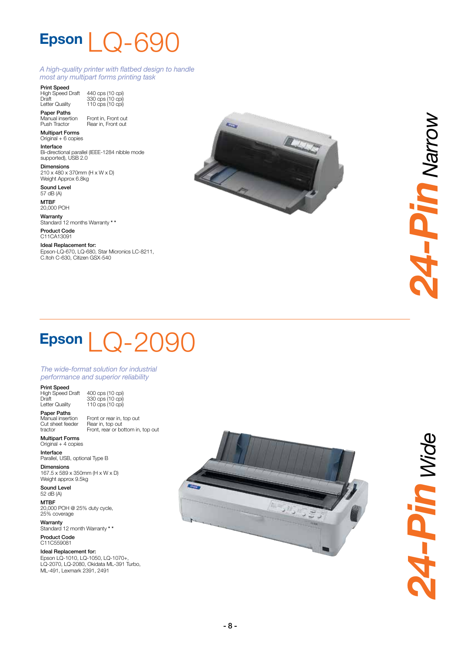### Epson | n-A

330 cps (10 cpi) 110 cps (10 cpi)

#### *A high-quality printer with flatbed design to handle most any multipart forms printing task*

Print Speed High Speed Draft

Draft Letter Quality 440 cps (10 cpi)

Paper Paths Manual insertion Push Tractor Front in, Front out Rear in, Front out

Multipart Forms Original + 6 copies

**Interface**<br>Bi-directional parallel (IEEE-1284 nibble mode supported), USB 2.0

Dimensions 210 x 480 x 370mm (H x W x D) Weight Approx 6.8kg

Sound Level 57 dB (A)

MTBF 20,000 POH

**Warranty** 

Standard 12 months Warranty \* \* Product Code

C11CA13091 Ideal Replacement for:

Epson-LQ-670, LQ-680, Star Micronics LC-8211, C.Itoh C-630, Citizen GSX-540



### Epson  $\bigcup$   $\bigcirc$  -209

#### *The wide-format solution for industrial performance and superior reliability*

Print Speed

Paper Paths

High Speed Draft Draft Letter Quality

400 cps (10 cpi) 330 cps (10 cpi) 110 cps (10 cpi) Front or rear in, top out Rear in, top out Front, rear or bottom in, top out

Manual insertion Cut sheet feeder tractor

**Multipart Forms**<br>Original + 4 copies

**Interface**<br>Parallel, USB, optional Type B

Dimensions 167.5 x 589 x 350mm (H x W x D) Weight approx 9.5kg

Sound Level 52 dB (A) **MTRE** 

20,000 POH @ 25% duty cycle, 25% coverage

Warranty Standard 12 month Warranty \* \* Product Code

C11C559081

Ideal Replacement for: Epson LQ-1010, LQ-1050, LQ-1070+, LQ-2070, LQ-2080, Okidata ML-391 Turbo, ML-491, Lexmark 2391, 2491



**A-Pin wide** *24-Pin Wide*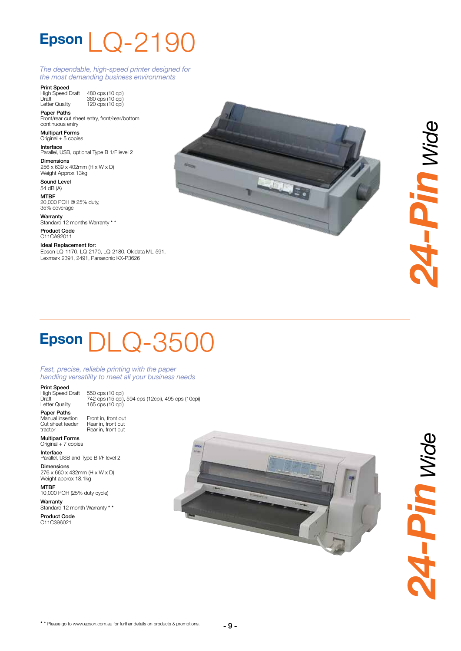### Epson  $\lfloor$   $\bigcirc$  -2190

#### *The dependable, high-speed printer designed for the most demanding business environments*

Print Speed

High Speed Draft Draft Letter Quality 480 cps (10 cpi) 360 cps (10 cpi) 120 cps (10 cpi)

Paper Paths Front/rear cut sheet entry, front/rear/bottom continuous entry

Multipart Forms Original + 5 copies

**Interface**<br>Parallel, USB, optional Type B 1/F level 2

Dimensions 256 x 639 x 402mm (H x W x D) Weight Approx 13kg

Sound Level 54 dB (A)

MTBF 20,000 POH @ 25% duty, 35% coverage

**Warranty** 

Standard 12 months Warranty \* \* Product Code C11CA92011

Ideal Replacement for: Epson LQ-1170, LQ-2170, LQ-2180, Okidata ML-591, Lexmark 2391, 2491, Panasonic KX-P3626



# **4-Pin wide** *24-Pin Wide*

### Epson DLQ-3500

#### *Fast, precise, reliable printing with the paper handling versatility to meet all your business needs*

Print Speed

Paper Paths

High Speed Draft Draft Letter Quality

550 cps (10 cpi) 742 cps (15 cpi), 594 cps (12cpi), 495 cps (10cpi) 165 cps (10 cpi)

Manual insertion Cut sheet feeder tractor

Front in, front out Rear in, front out Rear in, front out

Multipart Forms Original + 7 copies

**Interface**<br>Parallel, USB and Type B I/F level 2

Dimensions 276 x 660 x 432mm (H x W x D) Weight approx 18.1kg MTBF

10,000 POH (25% duty cycle)

**Warranty** Standard 12 month Warranty \* \*

Product Code C11C396021



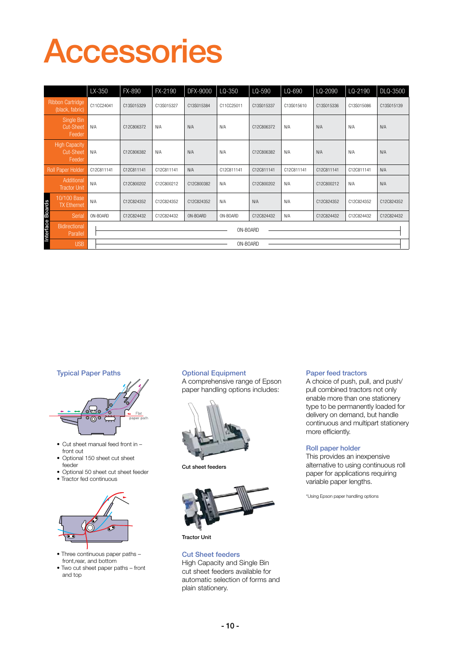## Accessories

|                                                    |                                   |            | LX-350     | FX-890     | FX-2190    | DFX-9000   | LQ-350     | LQ-590     | LQ-690     | LQ-2090    | LQ-2190    | DLQ-3500   |  |
|----------------------------------------------------|-----------------------------------|------------|------------|------------|------------|------------|------------|------------|------------|------------|------------|------------|--|
| <b>Ribbon Cartridge</b><br>(black, fabric)         |                                   | C11CC24041 |            | C13S015329 | C13S015327 | C13S015384 | C11CC25011 | C13S015337 | C13S015610 | C13S015336 | C13S015086 | C13S015139 |  |
| Single Bin<br><b>Cut-Sheet</b><br>Feeder           |                                   | N/A        |            | C12C806372 | N/A        | N/A        | N/A        | C12C806372 | N/A        | N/A        | N/A        | N/A        |  |
| <b>High Capacity</b><br><b>Cut-Sheet</b><br>Feeder |                                   | N/A        |            | C12C806382 | N/A        | N/A        | N/A        | C12C806382 | N/A        | N/A        | N/A        | N/A        |  |
| <b>Roll Paper Holder</b>                           |                                   |            | C12C811141 | C12C811141 | C12C811141 | N/A        | C12C811141 | C12C811141 | C12C811141 | C12C811141 | C12C811141 | N/A        |  |
|                                                    | Additional<br><b>Tractor Unit</b> | N/A        |            | C12C800202 | C12C800212 | C12C800382 | N/A        | C12C800202 | N/A        | C12C800212 | N/A        | N/A        |  |
|                                                    | 10/100 Base<br><b>TX</b> Ethernet | N/A        |            | C12C824352 | C12C824352 | C12C824352 | N/A        | N/A        | N/A        | C12C824352 | C12C824352 | C12C824352 |  |
|                                                    | Serial                            | ON-BOARD   |            | C12C824432 | C12C824432 | ON-BOARD   | ON-BOARD   | C12C824432 | N/A        | C12C824432 | C12C824432 | C12C824432 |  |
| Interface Boards                                   | Bidirectional<br>Parallel         |            |            | ON-BOARD   |            |            |            |            |            |            |            |            |  |
|                                                    | <b>USB</b>                        |            | ON-BOARD   |            |            |            |            |            |            |            |            |            |  |

**Typical Paper Paths Contract Contract Contract Paper Paths** 



- Cut sheet manual feed front in front out
- Optional 150 sheet cut sheet feeder
- • Optional 50 sheet cut sheet feeder
- Tractor fed continuous



- Three continuous paper paths front,rear, and bottom
- Two cut sheet paper paths front and top

A comprehensive range of Epson paper handling options includes:



Cut sheet feeders



Tractor Unit

Cut Sheet feeders High Capacity and Single Bin cut sheet feeders available for automatic selection of forms and plain stationery.

### Paper feed tractors

A choice of push, pull, and push/ pull combined tractors not only enable more than one stationery type to be permanently loaded for delivery on demand, but handle continuous and multipart stationery more efficiently.

#### Roll paper holder

This provides an inexpensive alternative to using continuous roll paper for applications requiring variable paper lengths.

\*Using Epson paper handling options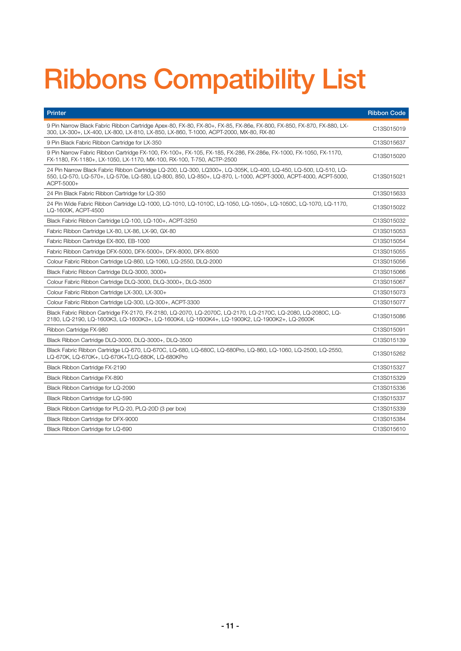## Ribbons Compatibility List

| Printer                                                                                                                                                                                                                                         | <b>Ribbon Code</b> |
|-------------------------------------------------------------------------------------------------------------------------------------------------------------------------------------------------------------------------------------------------|--------------------|
| 9 Pin Narrow Black Fabric Ribbon Cartridge Apex-80, FX-80, FX-80+, FX-85, FX-86e, FX-800, FX-850, FX-870, FX-880, LX-<br>300, LX-300+, LX-400, LX-800, LX-810, LX-850, LX-860, T-1000, ACPT-2000, MX-80, RX-80                                  | C13S015019         |
| 9 Pin Black Fabric Ribbon Cartridge for LX-350                                                                                                                                                                                                  | C13S015637         |
| 9 Pin Narrow Fabric Ribbon Cartridge FX-100, FX-100+, FX-105, FX-185, FX-286, FX-286e, FX-1000, FX-1050, FX-1170,<br>FX-1180, FX-1180+, LX-1050, LX-1170, MX-100, RX-100, T-750, ACTP-2500                                                      | C13S015020         |
| 24 Pin Narrow Black Fabric Ribbon Cartridge LQ-200, LQ-300, LQ300+, LQ-305K, LQ-400, LQ-450, LQ-500, LQ-510, LQ-<br>550, LQ-570, LQ-570+, LQ-570e, LQ-580, LQ-800, 850, LQ-850+, LQ-870, L-1000, ACPT-3000, ACPT-4000, ACPT-5000,<br>ACPT-5000+ | C13S015021         |
| 24 Pin Black Fabric Ribbon Cartridge for LQ-350                                                                                                                                                                                                 | C13S015633         |
| 24 Pin Wide Fabric Ribbon Cartridge LQ-1000, LQ-1010, LQ-1010C, LQ-1050, LQ-1050+, LQ-1050C, LQ-1070, LQ-1170,<br>LQ-1600K, ACPT-4500                                                                                                           | C13S015022         |
| Black Fabric Ribbon Cartridge LQ-100, LQ-100+, ACPT-3250                                                                                                                                                                                        | C13S015032         |
| Fabric Ribbon Cartridge LX-80, LX-86, LX-90, GX-80                                                                                                                                                                                              | C13S015053         |
| Fabric Ribbon Cartridge EX-800, EB-1000                                                                                                                                                                                                         | C13S015054         |
| Fabric Ribbon Cartridge DFX-5000, DFX-5000+, DFX-8000, DFX-8500                                                                                                                                                                                 | C13S015055         |
| Colour Fabric Ribbon Cartridge LQ-860, LQ-1060, LQ-2550, DLQ-2000                                                                                                                                                                               | C13S015056         |
| Black Fabric Ribbon Cartridge DLQ-3000, 3000+                                                                                                                                                                                                   | C13S015066         |
| Colour Fabric Ribbon Cartridge DLQ-3000, DLQ-3000+, DLQ-3500                                                                                                                                                                                    | C13S015067         |
| Colour Fabric Ribbon Cartridge LX-300, LX-300+                                                                                                                                                                                                  | C13S015073         |
| Colour Fabric Ribbon Cartridge LQ-300, LQ-300+, ACPT-3300                                                                                                                                                                                       | C13S015077         |
| Black Fabric Ribbon Cartridge FX-2170, FX-2180, LQ-2070, LQ-2070C, LQ-2170, LQ-2170C, LQ-2080, LQ-2080C, LQ-<br>2180, LQ-2190, LQ-1600K3, LQ-1600K3+, LQ-1600K4, LQ-1600K4+, LQ-1900K2, LQ-1900K2+, LQ-2600K                                    | C13S015086         |
| Ribbon Cartridge FX-980                                                                                                                                                                                                                         | C13S015091         |
| Black Ribbon Cartridge DLQ-3000, DLQ-3000+, DLQ-3500                                                                                                                                                                                            | C13S015139         |
| Black Fabric Ribbon Cartridge LQ-670, LQ-670C, LQ-680, LQ-680C, LQ-680Pro, LQ-860, LQ-1060, LQ-2500, LQ-2550,<br>LQ-670K, LQ-670K+, LQ-670K+T, LQ-680K, LQ-680KPro                                                                              | C13S015262         |
| Black Ribbon Cartridge FX-2190                                                                                                                                                                                                                  | C13S015327         |
| Black Ribbon Cartridge FX-890                                                                                                                                                                                                                   | C13S015329         |
| Black Ribbon Cartridge for LQ-2090                                                                                                                                                                                                              | C13S015336         |
| Black Ribbon Cartridge for LQ-590                                                                                                                                                                                                               | C13S015337         |
| Black Ribbon Cartridge for PLQ-20, PLQ-20D (3 per box)                                                                                                                                                                                          | C13S015339         |
| Black Ribbon Cartridge for DFX-9000                                                                                                                                                                                                             | C13S015384         |
| Black Ribbon Cartridge for LQ-690                                                                                                                                                                                                               | C13S015610         |